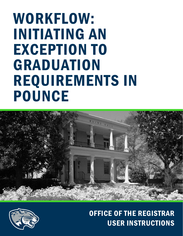



# OFFICE OF THE REGISTRAR USER INSTRUCTIONS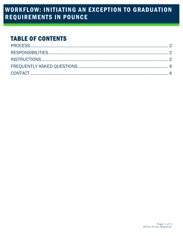### **TABLE OF CONTENTS**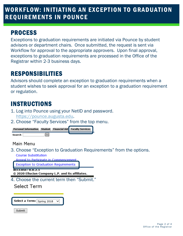### <span id="page-2-0"></span>PROCESS

Exceptions to graduation requirements are initiated via Pounce by student advisors or department chairs. Once submitted, the request is sent via Workflow for approval to the appropriate approvers. Upon final approval, exceptions to graduation requirements are processed in the Office of the Registrar within 2-3 business days.

# <span id="page-2-1"></span>RESPONSIBILITIES

Advisors should complete an exception to graduation requirements when a student wishes to seek approval for an exception to a graduation requirement or regulation.

# <span id="page-2-2"></span>INSTRUCTIONS

- 1. Log into Pounce using your NetID and password. [https://pounce.augusta.edu.](https://pounce.augusta.edu/)
- 2. Choose "Faculty Services" from the top menu.

| Personal Information Student Financial Aid Faculty Services |  |  |
|-------------------------------------------------------------|--|--|
| Gol<br>Search                                               |  |  |

Main Menu

3. Choose "Exception to Graduation Requirements" from the options. **Course Substitution** 

Anneal to Particinate in Commencement

**Exception to Graduation Requirements** 

**NELEASER SROPALE** 

© 2020 Ellucian Company L.P. and its affiliates.

4. Choose the current term then "Submit."

**Select a Term:** Spring 2018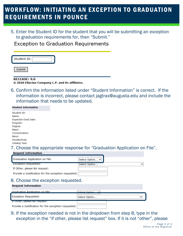5. Enter the Student ID for the student that you will be submitting an exception to graduation requirements for, then "Submit."

**Exception to Graduation Requirements** 

| ∼.<br>Student ID' |  |
|-------------------|--|
|                   |  |

Submit

**RELEASE: 9.0** 

© 2020 Ellucian Company L.P. and its affiliates.

6. Confirm the information listed under "Student Information" is correct. If the information is incorrect, please contact [jagtrax@augusta.edu](mailto:jagtrax@augusta.edu) and include the information that needs to be updated.

#### **Student Information**

| Student ID:         |
|---------------------|
| Name:               |
| Expected Grad Date: |
| Program:            |
| Degree:             |
| Major:              |
| Concentration:      |
| Minor:              |
| Double/Dual:        |
| Catalog Year:       |

**Request Information** 

### 7. Choose the appropriate response for "Graduation Application on File".

| Graduation Application on File:                                  | Select Option V               |  |
|------------------------------------------------------------------|-------------------------------|--|
| <b>Exception Requested:</b>                                      | Select Option<br>$\checkmark$ |  |
| If Other, please list request:                                   |                               |  |
| Provide a Justification for the exception requested:             |                               |  |
| 8. Choose the exception requested.<br><b>Request Information</b> |                               |  |
| Graduation Application on File:                                  | Soloct Ontion                 |  |
| Exception Requested:                                             | Select Option                 |  |
| IT Other, please list request.                                   |                               |  |
| Provide a Justification for the exception requested:             |                               |  |

9. If the exception needed is not in the dropdown from step 8, type in the exception in the "if other, please list request" box. If it is not "other", please